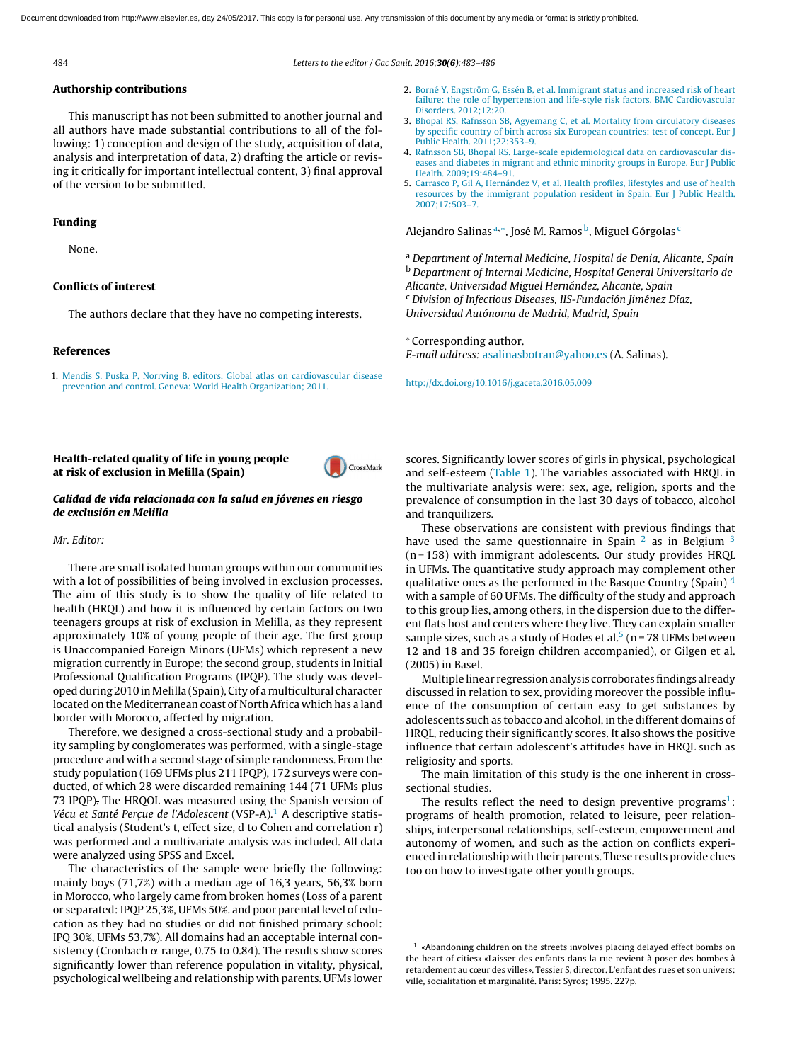484 Letters to the editor / Gac Sanit. [2016;](dx.doi.org/)30(6):483–486

CrossMark

## Authorship contributions

This manuscript has not been submitted to another journal and all authors have made substantial contributions to all of the following: 1) conception and design of the study, acquisition of data, analysis and interpretation of data, 2) drafting the article or [revis](http://crossmark.crossref.org/dialog/?doi=10.1016/j.gaceta.2016.05.009&domain=pdf)ing it critically for important intellectual content, 3) final approval of the version to be submitted.

## Funding

None.

# Conflicts of interest

The authors declare that they have no competing interests.

## References

1. [Mendis](http://refhub.elsevier.com/S0213-9111(16)30099-1/sbref0030) [S,](http://refhub.elsevier.com/S0213-9111(16)30099-1/sbref0030) [Puska](http://refhub.elsevier.com/S0213-9111(16)30099-1/sbref0030) [P,](http://refhub.elsevier.com/S0213-9111(16)30099-1/sbref0030) [Norrving](http://refhub.elsevier.com/S0213-9111(16)30099-1/sbref0030) [B,](http://refhub.elsevier.com/S0213-9111(16)30099-1/sbref0030) [editors.](http://refhub.elsevier.com/S0213-9111(16)30099-1/sbref0030) [Global](http://refhub.elsevier.com/S0213-9111(16)30099-1/sbref0030) [atlas](http://refhub.elsevier.com/S0213-9111(16)30099-1/sbref0030) [on](http://refhub.elsevier.com/S0213-9111(16)30099-1/sbref0030) [cardiovascular](http://refhub.elsevier.com/S0213-9111(16)30099-1/sbref0030) [disease](http://refhub.elsevier.com/S0213-9111(16)30099-1/sbref0030) [prevention](http://refhub.elsevier.com/S0213-9111(16)30099-1/sbref0030) [and](http://refhub.elsevier.com/S0213-9111(16)30099-1/sbref0030) [control.](http://refhub.elsevier.com/S0213-9111(16)30099-1/sbref0030) [Geneva:](http://refhub.elsevier.com/S0213-9111(16)30099-1/sbref0030) [World](http://refhub.elsevier.com/S0213-9111(16)30099-1/sbref0030) [Health](http://refhub.elsevier.com/S0213-9111(16)30099-1/sbref0030) [Organization;](http://refhub.elsevier.com/S0213-9111(16)30099-1/sbref0030) [2011.](http://refhub.elsevier.com/S0213-9111(16)30099-1/sbref0030)

- 2. [Borné](http://refhub.elsevier.com/S0213-9111(16)30099-1/sbref0035) [Y,](http://refhub.elsevier.com/S0213-9111(16)30099-1/sbref0035) [Engström](http://refhub.elsevier.com/S0213-9111(16)30099-1/sbref0035) [G,](http://refhub.elsevier.com/S0213-9111(16)30099-1/sbref0035) [Essén](http://refhub.elsevier.com/S0213-9111(16)30099-1/sbref0035) [B,](http://refhub.elsevier.com/S0213-9111(16)30099-1/sbref0035) [et](http://refhub.elsevier.com/S0213-9111(16)30099-1/sbref0035) [al.](http://refhub.elsevier.com/S0213-9111(16)30099-1/sbref0035) [Immigrant](http://refhub.elsevier.com/S0213-9111(16)30099-1/sbref0035) [status](http://refhub.elsevier.com/S0213-9111(16)30099-1/sbref0035) [and](http://refhub.elsevier.com/S0213-9111(16)30099-1/sbref0035) [increased](http://refhub.elsevier.com/S0213-9111(16)30099-1/sbref0035) [risk](http://refhub.elsevier.com/S0213-9111(16)30099-1/sbref0035) [of](http://refhub.elsevier.com/S0213-9111(16)30099-1/sbref0035) [heart](http://refhub.elsevier.com/S0213-9111(16)30099-1/sbref0035) [failure:](http://refhub.elsevier.com/S0213-9111(16)30099-1/sbref0035) [the](http://refhub.elsevier.com/S0213-9111(16)30099-1/sbref0035) [role](http://refhub.elsevier.com/S0213-9111(16)30099-1/sbref0035) [of](http://refhub.elsevier.com/S0213-9111(16)30099-1/sbref0035) [hypertension](http://refhub.elsevier.com/S0213-9111(16)30099-1/sbref0035) [and](http://refhub.elsevier.com/S0213-9111(16)30099-1/sbref0035) [life-style](http://refhub.elsevier.com/S0213-9111(16)30099-1/sbref0035) [risk](http://refhub.elsevier.com/S0213-9111(16)30099-1/sbref0035) [factors.](http://refhub.elsevier.com/S0213-9111(16)30099-1/sbref0035) [BMC](http://refhub.elsevier.com/S0213-9111(16)30099-1/sbref0035) [Cardiovascular](http://refhub.elsevier.com/S0213-9111(16)30099-1/sbref0035) [Disorders.](http://refhub.elsevier.com/S0213-9111(16)30099-1/sbref0035) [2012;12:20.](http://refhub.elsevier.com/S0213-9111(16)30099-1/sbref0035)
- 3. [Bhopal](http://refhub.elsevier.com/S0213-9111(16)30099-1/sbref0040) [RS,](http://refhub.elsevier.com/S0213-9111(16)30099-1/sbref0040) [Rafnsson](http://refhub.elsevier.com/S0213-9111(16)30099-1/sbref0040) [SB,](http://refhub.elsevier.com/S0213-9111(16)30099-1/sbref0040) [Agyemang](http://refhub.elsevier.com/S0213-9111(16)30099-1/sbref0040) [C,](http://refhub.elsevier.com/S0213-9111(16)30099-1/sbref0040) [et](http://refhub.elsevier.com/S0213-9111(16)30099-1/sbref0040) [al.](http://refhub.elsevier.com/S0213-9111(16)30099-1/sbref0040) [Mortality](http://refhub.elsevier.com/S0213-9111(16)30099-1/sbref0040) [from](http://refhub.elsevier.com/S0213-9111(16)30099-1/sbref0040) [circulatory](http://refhub.elsevier.com/S0213-9111(16)30099-1/sbref0040) [diseases](http://refhub.elsevier.com/S0213-9111(16)30099-1/sbref0040) [by](http://refhub.elsevier.com/S0213-9111(16)30099-1/sbref0040) [specific](http://refhub.elsevier.com/S0213-9111(16)30099-1/sbref0040) [country](http://refhub.elsevier.com/S0213-9111(16)30099-1/sbref0040) [of](http://refhub.elsevier.com/S0213-9111(16)30099-1/sbref0040) [birth](http://refhub.elsevier.com/S0213-9111(16)30099-1/sbref0040) [across](http://refhub.elsevier.com/S0213-9111(16)30099-1/sbref0040) [six](http://refhub.elsevier.com/S0213-9111(16)30099-1/sbref0040) [European](http://refhub.elsevier.com/S0213-9111(16)30099-1/sbref0040) [countries:](http://refhub.elsevier.com/S0213-9111(16)30099-1/sbref0040) [test](http://refhub.elsevier.com/S0213-9111(16)30099-1/sbref0040) [of](http://refhub.elsevier.com/S0213-9111(16)30099-1/sbref0040) [concept.](http://refhub.elsevier.com/S0213-9111(16)30099-1/sbref0040) [Eur](http://refhub.elsevier.com/S0213-9111(16)30099-1/sbref0040) [J](http://refhub.elsevier.com/S0213-9111(16)30099-1/sbref0040) [Public](http://refhub.elsevier.com/S0213-9111(16)30099-1/sbref0040) [Health.](http://refhub.elsevier.com/S0213-9111(16)30099-1/sbref0040) [2011;22:353](http://refhub.elsevier.com/S0213-9111(16)30099-1/sbref0040)–[9.](http://refhub.elsevier.com/S0213-9111(16)30099-1/sbref0040)
- 4. [Rafnsson](http://refhub.elsevier.com/S0213-9111(16)30099-1/sbref0045) [SB,](http://refhub.elsevier.com/S0213-9111(16)30099-1/sbref0045) [Bhopal](http://refhub.elsevier.com/S0213-9111(16)30099-1/sbref0045) [RS.](http://refhub.elsevier.com/S0213-9111(16)30099-1/sbref0045) [Large-scale](http://refhub.elsevier.com/S0213-9111(16)30099-1/sbref0045) [epidemiological](http://refhub.elsevier.com/S0213-9111(16)30099-1/sbref0045) [data](http://refhub.elsevier.com/S0213-9111(16)30099-1/sbref0045) [on](http://refhub.elsevier.com/S0213-9111(16)30099-1/sbref0045) [cardiovascular](http://refhub.elsevier.com/S0213-9111(16)30099-1/sbref0045) [dis](http://refhub.elsevier.com/S0213-9111(16)30099-1/sbref0045)[eases](http://refhub.elsevier.com/S0213-9111(16)30099-1/sbref0045) [and](http://refhub.elsevier.com/S0213-9111(16)30099-1/sbref0045) [diabetes](http://refhub.elsevier.com/S0213-9111(16)30099-1/sbref0045) [in](http://refhub.elsevier.com/S0213-9111(16)30099-1/sbref0045) [migrant](http://refhub.elsevier.com/S0213-9111(16)30099-1/sbref0045) [and](http://refhub.elsevier.com/S0213-9111(16)30099-1/sbref0045) [ethnic](http://refhub.elsevier.com/S0213-9111(16)30099-1/sbref0045) [minority](http://refhub.elsevier.com/S0213-9111(16)30099-1/sbref0045) [groups](http://refhub.elsevier.com/S0213-9111(16)30099-1/sbref0045) [in](http://refhub.elsevier.com/S0213-9111(16)30099-1/sbref0045) [Europe.](http://refhub.elsevier.com/S0213-9111(16)30099-1/sbref0045) [Eur](http://refhub.elsevier.com/S0213-9111(16)30099-1/sbref0045) [J](http://refhub.elsevier.com/S0213-9111(16)30099-1/sbref0045) [Public](http://refhub.elsevier.com/S0213-9111(16)30099-1/sbref0045) [Health.](http://refhub.elsevier.com/S0213-9111(16)30099-1/sbref0045) [2009;19:484](http://refhub.elsevier.com/S0213-9111(16)30099-1/sbref0045)–[91.](http://refhub.elsevier.com/S0213-9111(16)30099-1/sbref0045)
- 5. [Carrasco](http://refhub.elsevier.com/S0213-9111(16)30099-1/sbref0050) [P,](http://refhub.elsevier.com/S0213-9111(16)30099-1/sbref0050) [Gil](http://refhub.elsevier.com/S0213-9111(16)30099-1/sbref0050) [A,](http://refhub.elsevier.com/S0213-9111(16)30099-1/sbref0050) [Hernández](http://refhub.elsevier.com/S0213-9111(16)30099-1/sbref0050) [V,](http://refhub.elsevier.com/S0213-9111(16)30099-1/sbref0050) [et](http://refhub.elsevier.com/S0213-9111(16)30099-1/sbref0050) [al.](http://refhub.elsevier.com/S0213-9111(16)30099-1/sbref0050) [Health](http://refhub.elsevier.com/S0213-9111(16)30099-1/sbref0050) [profiles,](http://refhub.elsevier.com/S0213-9111(16)30099-1/sbref0050) [lifestyles](http://refhub.elsevier.com/S0213-9111(16)30099-1/sbref0050) [and](http://refhub.elsevier.com/S0213-9111(16)30099-1/sbref0050) [use](http://refhub.elsevier.com/S0213-9111(16)30099-1/sbref0050) [of](http://refhub.elsevier.com/S0213-9111(16)30099-1/sbref0050) [health](http://refhub.elsevier.com/S0213-9111(16)30099-1/sbref0050) [resources](http://refhub.elsevier.com/S0213-9111(16)30099-1/sbref0050) [by](http://refhub.elsevier.com/S0213-9111(16)30099-1/sbref0050) [the](http://refhub.elsevier.com/S0213-9111(16)30099-1/sbref0050) [immigrant](http://refhub.elsevier.com/S0213-9111(16)30099-1/sbref0050) [population](http://refhub.elsevier.com/S0213-9111(16)30099-1/sbref0050) [resident](http://refhub.elsevier.com/S0213-9111(16)30099-1/sbref0050) [in](http://refhub.elsevier.com/S0213-9111(16)30099-1/sbref0050) [Spain.](http://refhub.elsevier.com/S0213-9111(16)30099-1/sbref0050) [Eur](http://refhub.elsevier.com/S0213-9111(16)30099-1/sbref0050) [J](http://refhub.elsevier.com/S0213-9111(16)30099-1/sbref0050) [Public](http://refhub.elsevier.com/S0213-9111(16)30099-1/sbref0050) [Health.](http://refhub.elsevier.com/S0213-9111(16)30099-1/sbref0050) [2007;17:503–7.](http://refhub.elsevier.com/S0213-9111(16)30099-1/sbref0050)

Alejandro Salinas ª,\*, José M. Ramos b, Miguel Górgolas <sup>c</sup>

a Department of Internal Medicine, Hospital de Denia, Alicante, Spain <sup>b</sup> Department of Internal Medicine, Hospital General Universitario de Alicante, Universidad Miguel Hernández, Alicante, Spain <sup>c</sup> Division of Infectious Diseases, IIS-Fundación Jiménez Díaz, Universidad Autónoma de Madrid, Madrid, Spain

<sup>∗</sup> Corresponding author. E-mail address: [asalinasbotran@yahoo.es](mailto:asalinasbotran@yahoo.es) (A. Salinas).

[http://dx.doi.org/10.1016/j.gaceta.2016.05.009](dx.doi.org/10.1016/j.gaceta.2016.05.009)

Health-related quality of life in young people at risk of exclusion in Melilla (Spain)

# Calidad de vida relacionada con la salud en jóvenes en riesgo de exclusión en Melilla

## Mr. Editor:

There are small isolated human groups within our communities with a lot of possibilities of being involved in exclusion processes. The aim of this study is to show the quality of life related to health (HRQL) and how it is influenced by certain factors on two teenagers groups at risk of exclusion in Melilla, as they represent approximately 10% of young people of their age. The first group is Unaccompanied Foreign Minors (UFMs) which represent a new migration currently in Europe; the second group, students in Initial Professional Qualification Programs (IPQP). The study was developed during 2010 in Melilla (Spain), City of a multicultural character located on the Mediterranean coast of North Africa which has a land border with Morocco, affected by migration.

Therefore, we designed a cross-sectional study and a probability sampling by conglomerates was performed, with a single-stage procedure and with a second stage of simple randomness. From the study population (169 UFMs plus 211 IPQP), 172 surveys were conducted, of which 28 were discarded remaining 144 (71 UFMs plus 73 IPQP). The HRQOL was measured using the Spanish version of Vécu et Santé Perçue de l'Adolescent (VSP-A).<sup>[1](#page-1-0)</sup> A descriptive statistical analysis (Student's t, effect size, d to Cohen and correlation r) was performed and a multivariate analysis was included. All data were analyzed using SPSS and Excel.

The characteristics of the sample were briefly the following: mainly boys (71,7%) with a median age of 16,3 years, 56,3% born in Morocco, who largely came from broken homes (Loss of a parent or separated: IPQP 25,3%, UFMs 50%. and poor parental level of education as they had no studies or did not finished primary school: IPQ 30%, UFMs 53,7%). All domains had an acceptable internal consistency (Cronbach  $\alpha$  range, 0.75 to 0.84). The results show scores sig[nifican](http://creativecommons.org/licenses/by-nc-nd/4.0/)tly lower than reference population in vitality, physical, psychological wellbeing and relationship with parents. UFMs lower

scores. Significantly lower scores of girls in physical, psychological and self-esteem ([Table](#page-1-0) 1). The variables associated with HRQL in the multivariate analysis were: sex, age, religion, sports and the prevalence of consumption in the last 30 days of tobacco, alcohol and tranquilizers.

These observations are consistent with previous findings that have used the same questionnaire in Spain  $^2$  $^2$  as in Belgium  $^3$  $^3$  $(n = 158)$  with immigrant adolescents. Our study provides HROL in UFMs. The quantitative study approach may complement other qualitative ones as the performed in the Basque Country (Spain)  $4$ with a sample of 60 UFMs. The difficulty of the study and approach to this group lies, among others, in the dispersion due to the different flats host and centers where they live. They can explain smaller sample sizes, such as a study of Hodes et al.<sup>[5](#page-1-0)</sup> (n = 78 UFMs between 12 and 18 and 35 foreign children accompanied), or Gilgen et al. (2005) in Basel.

Multiple linear regression analysis corroborates findings already discussed in relation to sex, providing moreover the possible influence of the consumption of certain easy to get substances by adolescents such as tobacco and alcohol, in the different domains of HRQL, reducing their significantly scores. It also shows the positive influence that certain adolescent's attitudes have in HRQL such as religiosity and sports.

The main limitation of this study is the one inherent in crosssectional studies.

The results reflect the need to design preventive programs<sup>1</sup>: programs of health promotion, related to leisure, peer relationships, interpersonal relationships, self-esteem, empowerment and autonomy of women, and such as the action on conflicts experienced in relationship with their parents. These results provide clues too on how to investigate other youth groups.

<sup>1</sup> «Abandoning children on the streets involves placing delayed effect bombs on the heart of cities» «Laisser des enfants d[ans](http://creativecommons.org/licenses/by-nc-nd/4.0/) la rue [revient](http://creativecommons.org/licenses/by-nc-nd/4.0/) à poser [de](http://creativecommons.org/licenses/by-nc-nd/4.0/)s [bombe](http://creativecommons.org/licenses/by-nc-nd/4.0/)s [à](http://creativecommons.org/licenses/by-nc-nd/4.0/) retardement au cœur des villes». Tessier S, director. L'enfant des rues et son univers: ville, socialitation et marginalité. Paris: Syros; 1995. 227p.